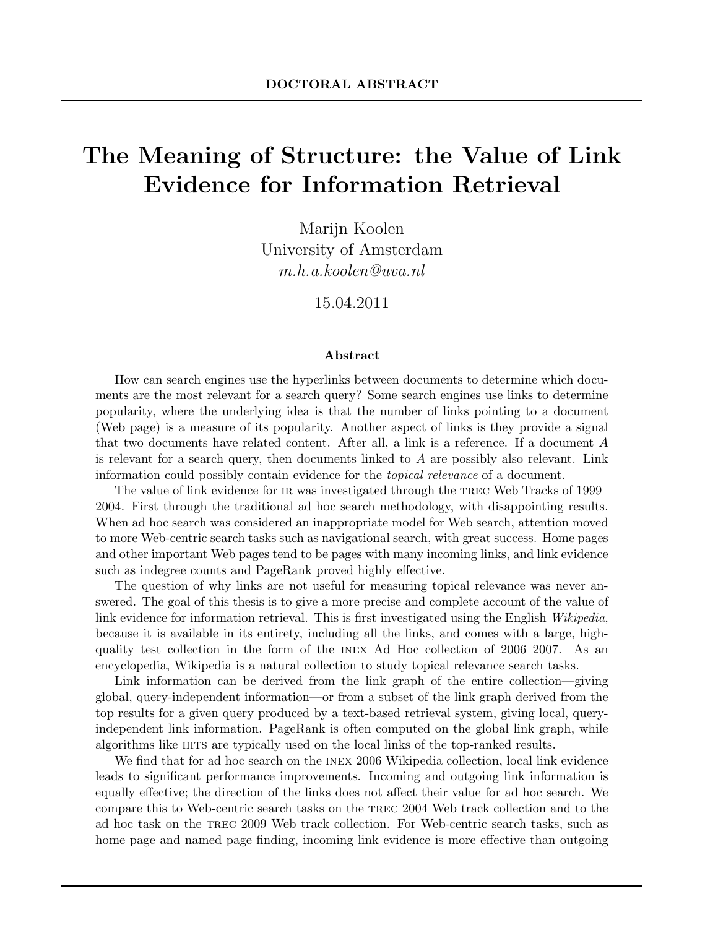## The Meaning of Structure: the Value of Link Evidence for Information Retrieval

Marijn Koolen University of Amsterdam m.h.a.koolen@uva.nl

15.04.2011

## Abstract

How can search engines use the hyperlinks between documents to determine which documents are the most relevant for a search query? Some search engines use links to determine popularity, where the underlying idea is that the number of links pointing to a document (Web page) is a measure of its popularity. Another aspect of links is they provide a signal that two documents have related content. After all, a link is a reference. If a document A is relevant for a search query, then documents linked to  $A$  are possibly also relevant. Link information could possibly contain evidence for the topical relevance of a document.

The value of link evidence for IR was investigated through the TREC Web Tracks of 1999– 2004. First through the traditional ad hoc search methodology, with disappointing results. When ad hoc search was considered an inappropriate model for Web search, attention moved to more Web-centric search tasks such as navigational search, with great success. Home pages and other important Web pages tend to be pages with many incoming links, and link evidence such as indegree counts and PageRank proved highly effective.

The question of why links are not useful for measuring topical relevance was never answered. The goal of this thesis is to give a more precise and complete account of the value of link evidence for information retrieval. This is first investigated using the English Wikipedia, because it is available in its entirety, including all the links, and comes with a large, highquality test collection in the form of the inex Ad Hoc collection of 2006–2007. As an encyclopedia, Wikipedia is a natural collection to study topical relevance search tasks.

Link information can be derived from the link graph of the entire collection—giving global, query-independent information—or from a subset of the link graph derived from the top results for a given query produced by a text-based retrieval system, giving local, queryindependent link information. PageRank is often computed on the global link graph, while algorithms like hits are typically used on the local links of the top-ranked results.

We find that for ad hoc search on the INEX 2006 Wikipedia collection, local link evidence leads to significant performance improvements. Incoming and outgoing link information is equally effective; the direction of the links does not affect their value for ad hoc search. We compare this to Web-centric search tasks on the trec 2004 Web track collection and to the ad hoc task on the trec 2009 Web track collection. For Web-centric search tasks, such as home page and named page finding, incoming link evidence is more effective than outgoing